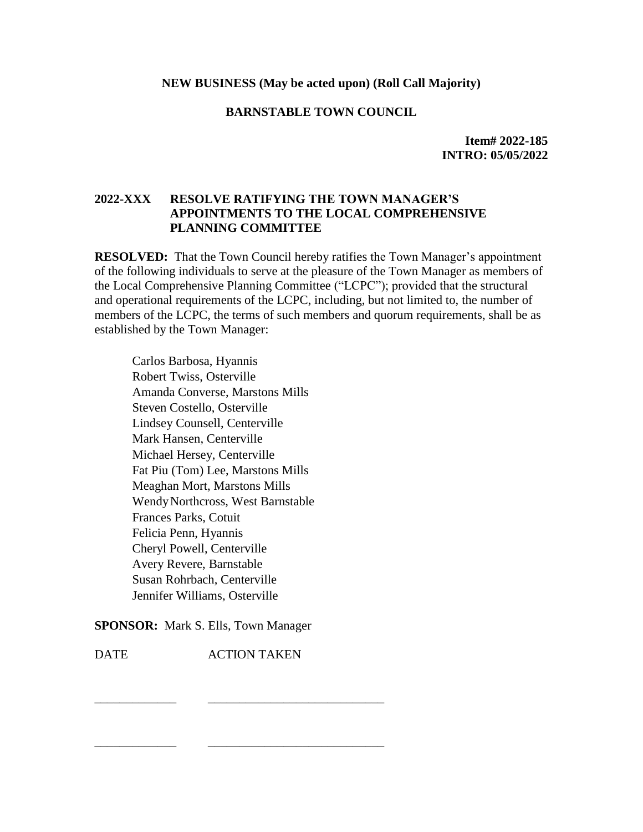### **NEW BUSINESS (May be acted upon) (Roll Call Majority)**

### **BARNSTABLE TOWN COUNCIL**

**Item# 2022-185 INTRO: 05/05/2022**

# **2022-XXX RESOLVE RATIFYING THE TOWN MANAGER'S APPOINTMENTS TO THE LOCAL COMPREHENSIVE PLANNING COMMITTEE**

**RESOLVED:** That the Town Council hereby ratifies the Town Manager's appointment of the following individuals to serve at the pleasure of the Town Manager as members of the Local Comprehensive Planning Committee ("LCPC"); provided that the structural and operational requirements of the LCPC, including, but not limited to, the number of members of the LCPC, the terms of such members and quorum requirements, shall be as established by the Town Manager:

Carlos Barbosa, Hyannis Robert Twiss, Osterville Amanda Converse, Marstons Mills Steven Costello, Osterville Lindsey Counsell, Centerville Mark Hansen, Centerville Michael Hersey, Centerville Fat Piu (Tom) Lee, Marstons Mills Meaghan Mort, Marstons Mills WendyNorthcross, West Barnstable Frances Parks, Cotuit Felicia Penn, Hyannis Cheryl Powell, Centerville Avery Revere, Barnstable Susan Rohrbach, Centerville Jennifer Williams, Osterville

**SPONSOR:** Mark S. Ells, Town Manager

DATE ACTION TAKEN

\_\_\_\_\_\_\_\_\_\_\_\_\_ \_\_\_\_\_\_\_\_\_\_\_\_\_\_\_\_\_\_\_\_\_\_\_\_\_\_\_\_

\_\_\_\_\_\_\_\_\_\_\_\_\_ \_\_\_\_\_\_\_\_\_\_\_\_\_\_\_\_\_\_\_\_\_\_\_\_\_\_\_\_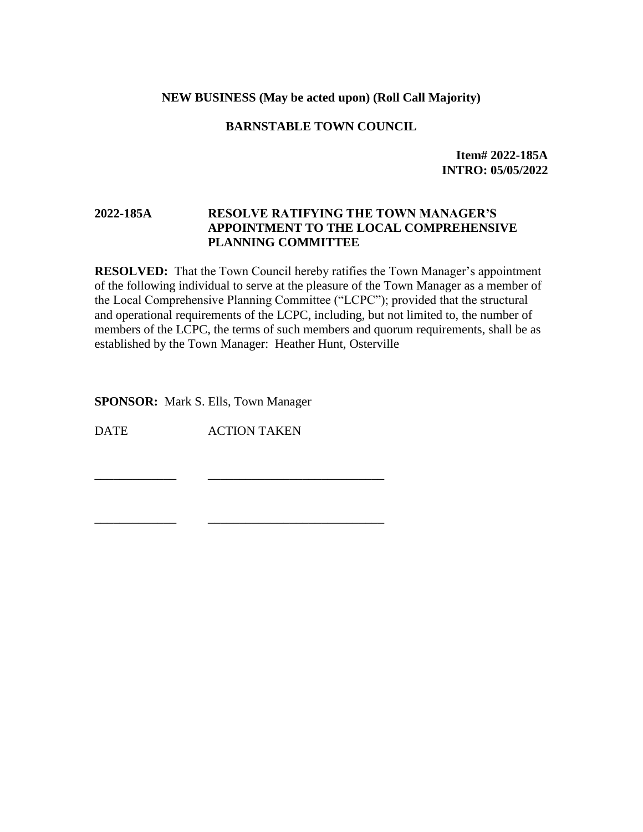### **NEW BUSINESS (May be acted upon) (Roll Call Majority)**

### **BARNSTABLE TOWN COUNCIL**

**Item# 2022-185A INTRO: 05/05/2022**

## **2022-185A RESOLVE RATIFYING THE TOWN MANAGER'S APPOINTMENT TO THE LOCAL COMPREHENSIVE PLANNING COMMITTEE**

**RESOLVED:** That the Town Council hereby ratifies the Town Manager's appointment of the following individual to serve at the pleasure of the Town Manager as a member of the Local Comprehensive Planning Committee ("LCPC"); provided that the structural and operational requirements of the LCPC, including, but not limited to, the number of members of the LCPC, the terms of such members and quorum requirements, shall be as established by the Town Manager: Heather Hunt, Osterville

**SPONSOR:** Mark S. Ells, Town Manager

DATE ACTION TAKEN

\_\_\_\_\_\_\_\_\_\_\_\_\_ \_\_\_\_\_\_\_\_\_\_\_\_\_\_\_\_\_\_\_\_\_\_\_\_\_\_\_\_

\_\_\_\_\_\_\_\_\_\_\_\_\_ \_\_\_\_\_\_\_\_\_\_\_\_\_\_\_\_\_\_\_\_\_\_\_\_\_\_\_\_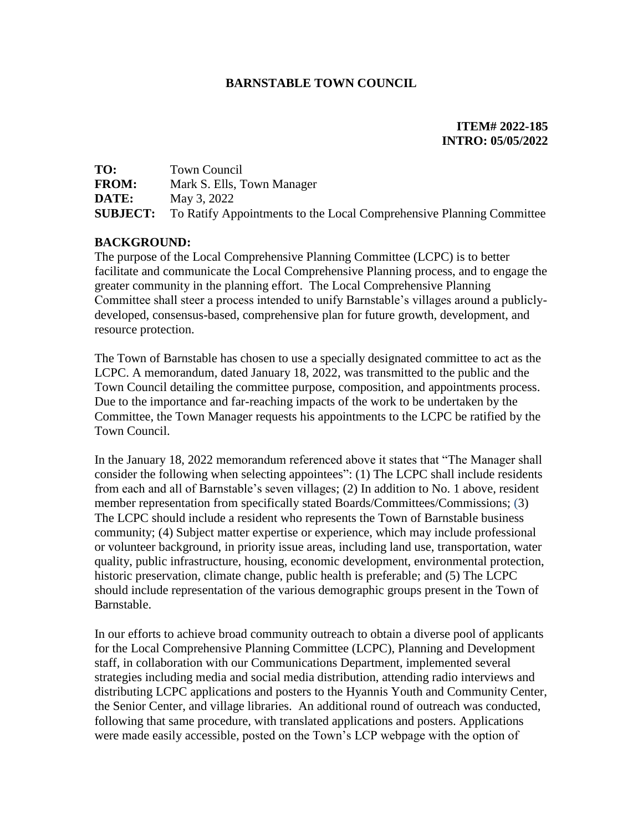# **BARNSTABLE TOWN COUNCIL**

# **ITEM# 2022-185 INTRO: 05/05/2022**

| TO:          | Town Council                                                                         |
|--------------|--------------------------------------------------------------------------------------|
| <b>FROM:</b> | Mark S. Ells, Town Manager                                                           |
| DATE:        | May 3, 2022                                                                          |
|              | <b>SUBJECT:</b> To Ratify Appointments to the Local Comprehensive Planning Committee |

# **BACKGROUND:**

The purpose of the Local Comprehensive Planning Committee (LCPC) is to better facilitate and communicate the Local Comprehensive Planning process, and to engage the greater community in the planning effort. The Local Comprehensive Planning Committee shall steer a process intended to unify Barnstable's villages around a publiclydeveloped, consensus-based, comprehensive plan for future growth, development, and resource protection.

The Town of Barnstable has chosen to use a specially designated committee to act as the LCPC. A memorandum, dated January 18, 2022, was transmitted to the public and the Town Council detailing the committee purpose, composition, and appointments process. Due to the importance and far-reaching impacts of the work to be undertaken by the Committee, the Town Manager requests his appointments to the LCPC be ratified by the Town Council.

In the January 18, 2022 memorandum referenced above it states that "The Manager shall consider the following when selecting appointees": (1) The LCPC shall include residents from each and all of Barnstable's seven villages; (2) In addition to No. 1 above, resident member representation from specifically stated Boards/Committees/Commissions; (3) The LCPC should include a resident who represents the Town of Barnstable business community; (4) Subject matter expertise or experience, which may include professional or volunteer background, in priority issue areas, including land use, transportation, water quality, public infrastructure, housing, economic development, environmental protection, historic preservation, climate change, public health is preferable; and (5) The LCPC should include representation of the various demographic groups present in the Town of Barnstable.

In our efforts to achieve broad community outreach to obtain a diverse pool of applicants for the Local Comprehensive Planning Committee (LCPC), Planning and Development staff, in collaboration with our Communications Department, implemented several strategies including media and social media distribution, attending radio interviews and distributing LCPC applications and posters to the Hyannis Youth and Community Center, the Senior Center, and village libraries. An additional round of outreach was conducted, following that same procedure, with translated applications and posters. Applications were made easily accessible, posted on the Town's LCP webpage with the option of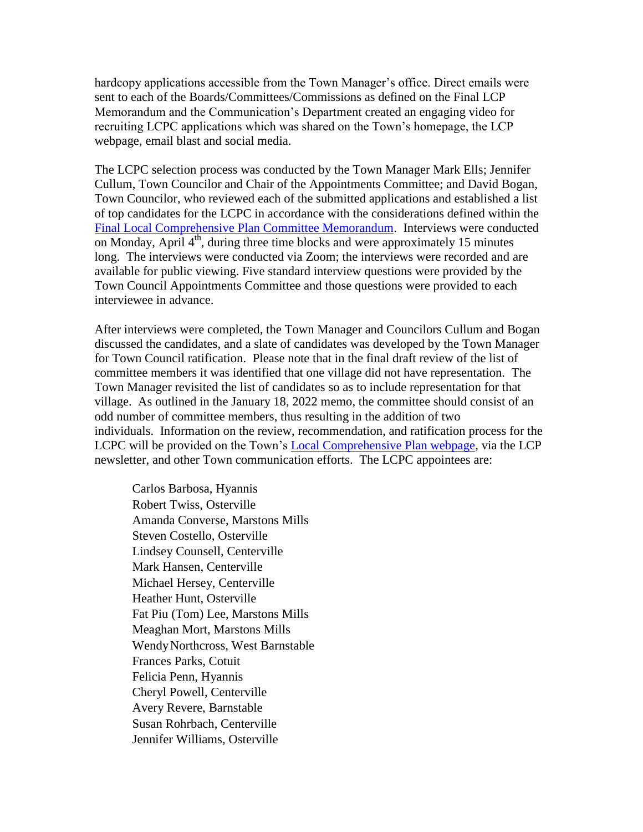hardcopy applications accessible from the Town Manager's office. Direct emails were sent to each of the Boards/Committees/Commissions as defined on the Final LCP Memorandum and the Communication's Department created an engaging video for recruiting LCPC applications which was shared on the Town's homepage, the LCP webpage, email blast and social media.

The LCPC selection process was conducted by the Town Manager Mark Ells; Jennifer Cullum, Town Councilor and Chair of the Appointments Committee; and David Bogan, Town Councilor, who reviewed each of the submitted applications and established a list of top candidates for the LCPC in accordance with the considerations defined within the [Final Local Comprehensive Plan Committee Memorandum.](https://townofbarnstable.us/Departments/planninganddevelopment/Projects/LCP/2%20LCPC%20Establish%20Appoint%20TM%20Memo%20FINAL.PDF) Interviews were conducted on Monday, April  $4<sup>th</sup>$ , during three time blocks and were approximately 15 minutes long. The interviews were conducted via Zoom; the interviews were recorded and are available for public viewing. Five standard interview questions were provided by the Town Council Appointments Committee and those questions were provided to each interviewee in advance.

After interviews were completed, the Town Manager and Councilors Cullum and Bogan discussed the candidates, and a slate of candidates was developed by the Town Manager for Town Council ratification. Please note that in the final draft review of the list of committee members it was identified that one village did not have representation. The Town Manager revisited the list of candidates so as to include representation for that village. As outlined in the January 18, 2022 memo, the committee should consist of an odd number of committee members, thus resulting in the addition of two individuals. Information on the review, recommendation, and ratification process for the LCPC will be provided on the Town's [Local Comprehensive Plan webpage,](https://www.townofbarnstable.us/Departments/planninganddevelopment/Projects/Local-Comprehensive-Plan.asp) via the LCP newsletter, and other Town communication efforts. The LCPC appointees are:

Carlos Barbosa, Hyannis Robert Twiss, Osterville Amanda Converse, Marstons Mills Steven Costello, Osterville Lindsey Counsell, Centerville Mark Hansen, Centerville Michael Hersey, Centerville Heather Hunt, Osterville Fat Piu (Tom) Lee, Marstons Mills Meaghan Mort, Marstons Mills WendyNorthcross, West Barnstable Frances Parks, Cotuit Felicia Penn, Hyannis Cheryl Powell, Centerville Avery Revere, Barnstable Susan Rohrbach, Centerville Jennifer Williams, Osterville